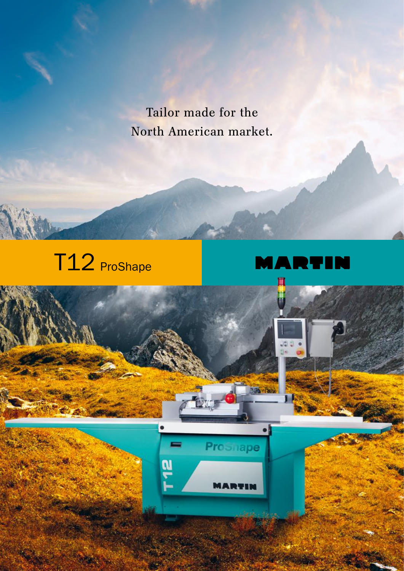Tailor made for the North American market.

### T12 ProShape



Ш

ProShape

**F12**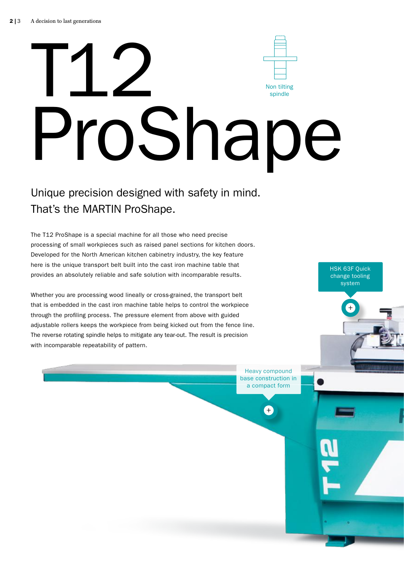# T12 roShape Non tilting spindle

Unique precision designed with safety in mind. That's the MARTIN ProShape.

The T12 ProShape is a special machine for all those who need precise processing of small workpieces such as raised panel sections for kitchen doors. Developed for the North American kitchen cabinetry industry, the key feature here is the unique transport belt built into the cast iron machine table that provides an absolutely reliable and safe solution with incomparable results.

Whether you are processing wood lineally or cross-grained, the transport belt that is embedded in the cast iron machine table helps to control the workpiece through the profiling process. The pressure element from above with guided adjustable rollers keeps the workpiece from being kicked out from the fence line. The reverse rotating spindle helps to mitigate any tear-out. The result is precision with incomparable repeatability of pattern.

> Heavy compound base construction in a compact form

HSK 63F Quick change tooling system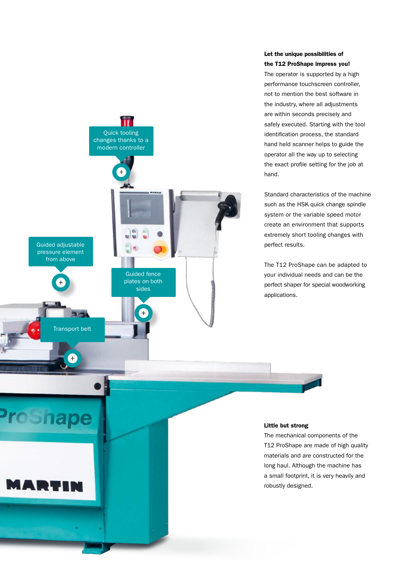

#### Let the unique possibilities of the T12 ProShape impress you!

The operator is supported by a high performance touchscreen controller, not to mention the best software in the industry, where all adjustments are within seconds precisely and safely executed. Starting with the tool identification process, the standard hand held scanner helps to guide the operator all the way up to selecting the exact profile setting for the job at hand.

Standard characteristics of the machine such as the HSK quick change spindle system or the variable speed motor create an environment that supports extremely short tooling changes with perfect results.

The T12 ProShape can be adapted to your individual needs and can be the perfect shaper for special woodworking applications.

#### Little but strong

The mechanical components of the T12 ProShape are made of high quality materials and are constructed for the long haul. Although the machine has a small footprint, it is very heavily and robustly designed.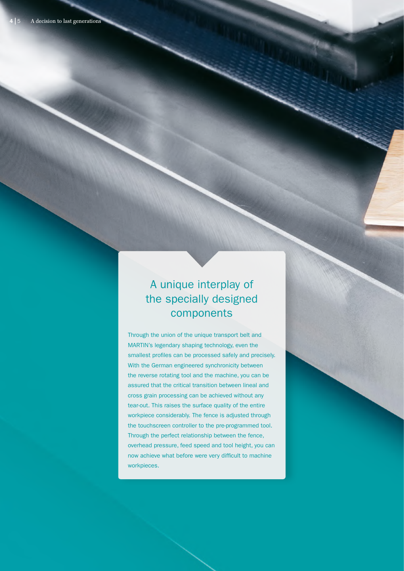### A unique interplay of the specially designed components

Through the union of the unique transport belt and MARTIN's legendary shaping technology, even the smallest profiles can be processed safely and precisely. With the German engineered synchronicity between the reverse rotating tool and the machine, you can be assured that the critical transition between lineal and cross grain processing can be achieved without any tear-out. This raises the surface quality of the entire workpiece considerably. The fence is adjusted through the touchscreen controller to the pre-programmed tool. Through the perfect relationship between the fence, overhead pressure, feed speed and tool height, you can now achieve what before were very difficult to machine workpieces.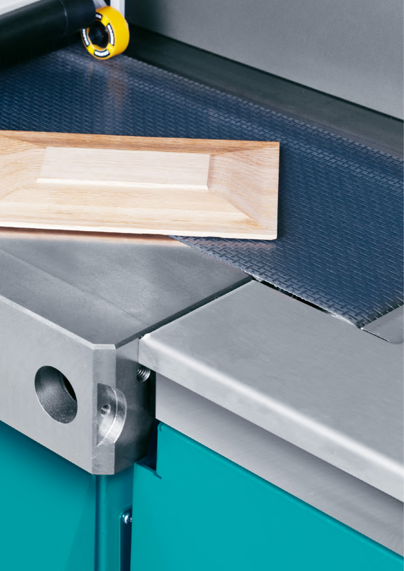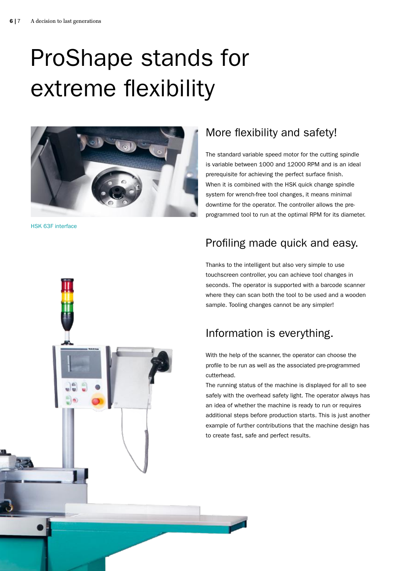## ProShape stands for extreme flexibility



HSK 63F interface

#### More flexibility and safety!

The standard variable speed motor for the cutting spindle is variable between 1000 and 12000 RPM and is an ideal prerequisite for achieving the perfect surface finish. When it is combined with the HSK quick change spindle system for wrench-free tool changes, it means minimal downtime for the operator. The controller allows the preprogrammed tool to run at the optimal RPM for its diameter.

#### Profiling made quick and easy.

Thanks to the intelligent but also very simple to use touchscreen controller, you can achieve tool changes in seconds. The operator is supported with a barcode scanner where they can scan both the tool to be used and a wooden sample. Tooling changes cannot be any simpler!

#### Information is everything.

With the help of the scanner, the operator can choose the profile to be run as well as the associated pre-programmed cutterhead.

The running status of the machine is displayed for all to see safely with the overhead safety light. The operator always has an idea of whether the machine is ready to run or requires additional steps before production starts. This is just another example of further contributions that the machine design has to create fast, safe and perfect results.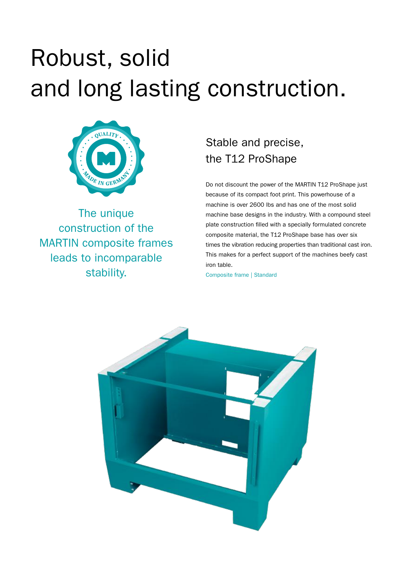## Robust, solid and long lasting construction.



The unique construction of the MARTIN composite frames leads to incomparable stability.

### Stable and precise, the T12 ProShape

Do not discount the power of the MARTIN T12 ProShape just because of its compact foot print. This powerhouse of a machine is over 2600 lbs and has one of the most solid machine base designs in the industry. With a compound steel plate construction filled with a specially formulated concrete composite material, the T12 ProShape base has over six times the vibration reducing properties than traditional cast iron. This makes for a perfect support of the machines beefy cast iron table.

Composite frame | Standard

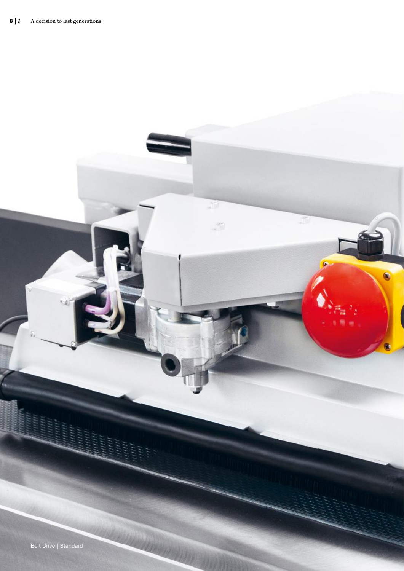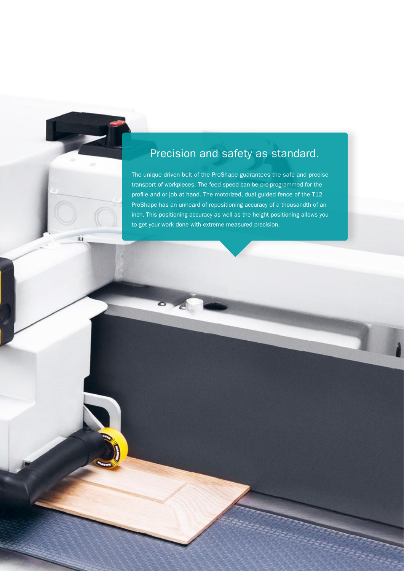### Precision and safety as standard.

The unique driven belt of the ProShape guarantees the safe and precise transport of workpieces. The feed speed can be pre-programmed for the profile and or job at hand. The motorized, dual guided fence of the T12 ProShape has an unheard of repositioning accuracy of a thousandth of an inch. This positioning accuracy as well as the height positioning allows you to get your work done with extreme measured precision.

u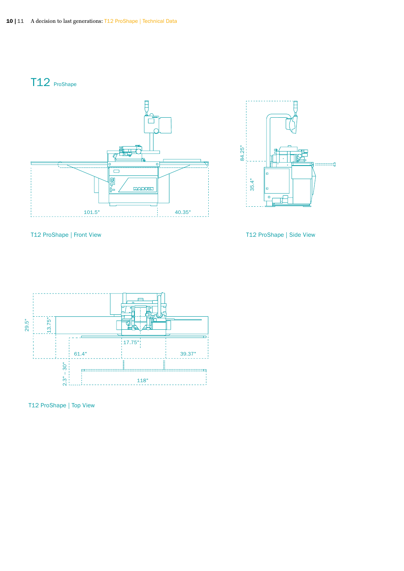#### T12 ProShape



84.25" ------0  $\blacksquare$ 35.4" ċ  $\overline{\circ}$ ıf

T12 ProShape | Front View T12 ProShape | Side View



T12 ProShape | Top View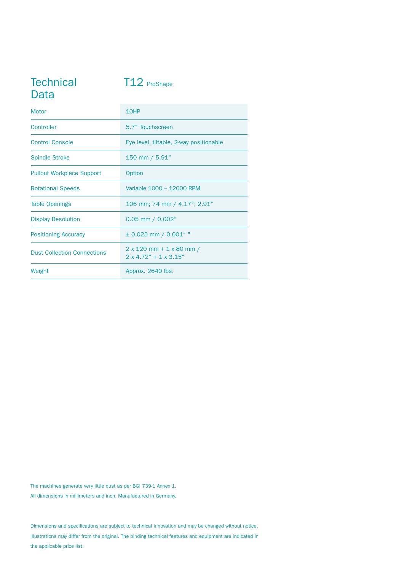#### **Technical** Data



| Motor                              | 10HP                                                            |
|------------------------------------|-----------------------------------------------------------------|
| Controller                         | 5.7" Touchscreen                                                |
| <b>Control Console</b>             | Eye level, tiltable, 2-way positionable                         |
| <b>Spindle Stroke</b>              | 150 mm / 5.91"                                                  |
| <b>Pullout Workpiece Support</b>   | Option                                                          |
| <b>Rotational Speeds</b>           | Variable 1000 - 12000 RPM                                       |
| <b>Table Openings</b>              | 106 mm; 74 mm / 4.17"; 2.91"                                    |
| <b>Display Resolution</b>          | $0.05$ mm / $0.002$ <sup>"</sup>                                |
| <b>Positioning Accuracy</b>        | $\pm$ 0.025 mm / 0.001" "                                       |
| <b>Dust Collection Connections</b> | $2 \times 120$ mm + 1 x 80 mm /<br>$2 \times 4$ 72" + 1 x 3 15" |
| Weight                             | Approx. 2640 lbs.                                               |

The machines generate very little dust as per BGI 739-1 Annex 1.

All dimensions in millimeters and inch. Manufactured in Germany.

Dimensions and specifications are subject to technical innovation and may be changed without notice. Illustrations may differ from the original. The binding technical features and equipment are indicated in the applicable price list.